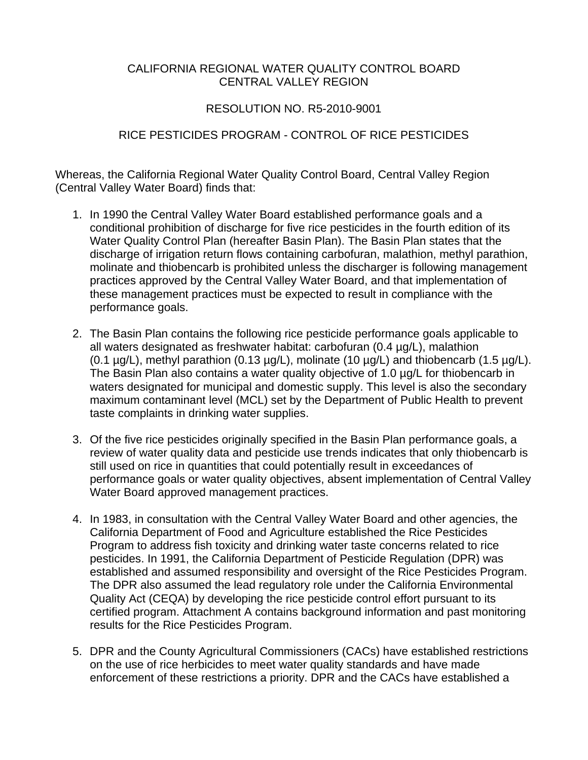# CALIFORNIA REGIONAL WATER QUALITY CONTROL BOARD CENTRAL VALLEY REGION

# RESOLUTION NO. R5-2010-9001

# RICE PESTICIDES PROGRAM - CONTROL OF RICE PESTICIDES

Whereas, the California Regional Water Quality Control Board, Central Valley Region (Central Valley Water Board) finds that:

- 1. In 1990 the Central Valley Water Board established performance goals and a conditional prohibition of discharge for five rice pesticides in the fourth edition of its Water Quality Control Plan (hereafter Basin Plan). The Basin Plan states that the discharge of irrigation return flows containing carbofuran, malathion, methyl parathion, molinate and thiobencarb is prohibited unless the discharger is following management practices approved by the Central Valley Water Board, and that implementation of these management practices must be expected to result in compliance with the performance goals.
- 2. The Basin Plan contains the following rice pesticide performance goals applicable to all waters designated as freshwater habitat: carbofuran (0.4 µg/L), malathion (0.1  $\mu$ g/L), methyl parathion (0.13  $\mu$ g/L), molinate (10  $\mu$ g/L) and thiobencarb (1.5  $\mu$ g/L). The Basin Plan also contains a water quality objective of 1.0 µg/L for thiobencarb in waters designated for municipal and domestic supply. This level is also the secondary maximum contaminant level (MCL) set by the Department of Public Health to prevent taste complaints in drinking water supplies.
- 3. Of the five rice pesticides originally specified in the Basin Plan performance goals, a review of water quality data and pesticide use trends indicates that only thiobencarb is still used on rice in quantities that could potentially result in exceedances of performance goals or water quality objectives, absent implementation of Central Valley Water Board approved management practices.
- 4. In 1983, in consultation with the Central Valley Water Board and other agencies, the California Department of Food and Agriculture established the Rice Pesticides Program to address fish toxicity and drinking water taste concerns related to rice pesticides. In 1991, the California Department of Pesticide Regulation (DPR) was established and assumed responsibility and oversight of the Rice Pesticides Program. The DPR also assumed the lead regulatory role under the California Environmental Quality Act (CEQA) by developing the rice pesticide control effort pursuant to its certified program. Attachment A contains background information and past monitoring results for the Rice Pesticides Program.
- 5. DPR and the County Agricultural Commissioners (CACs) have established restrictions on the use of rice herbicides to meet water quality standards and have made enforcement of these restrictions a priority. DPR and the CACs have established a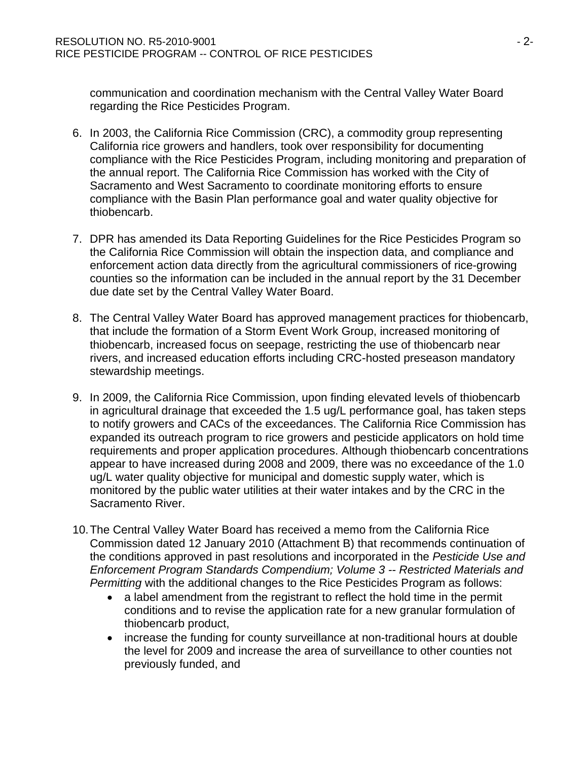communication and coordination mechanism with the Central Valley Water Board regarding the Rice Pesticides Program.

- 6. In 2003, the California Rice Commission (CRC), a commodity group representing California rice growers and handlers, took over responsibility for documenting compliance with the Rice Pesticides Program, including monitoring and preparation of the annual report. The California Rice Commission has worked with the City of Sacramento and West Sacramento to coordinate monitoring efforts to ensure compliance with the Basin Plan performance goal and water quality objective for thiobencarb.
- 7. DPR has amended its Data Reporting Guidelines for the Rice Pesticides Program so the California Rice Commission will obtain the inspection data, and compliance and enforcement action data directly from the agricultural commissioners of rice-growing counties so the information can be included in the annual report by the 31 December due date set by the Central Valley Water Board.
- 8. The Central Valley Water Board has approved management practices for thiobencarb, that include the formation of a Storm Event Work Group, increased monitoring of thiobencarb, increased focus on seepage, restricting the use of thiobencarb near rivers, and increased education efforts including CRC-hosted preseason mandatory stewardship meetings.
- 9. In 2009, the California Rice Commission, upon finding elevated levels of thiobencarb in agricultural drainage that exceeded the 1.5 ug/L performance goal, has taken steps to notify growers and CACs of the exceedances. The California Rice Commission has expanded its outreach program to rice growers and pesticide applicators on hold time requirements and proper application procedures. Although thiobencarb concentrations appear to have increased during 2008 and 2009, there was no exceedance of the 1.0 ug/L water quality objective for municipal and domestic supply water, which is monitored by the public water utilities at their water intakes and by the CRC in the Sacramento River.
- 10. The Central Valley Water Board has received a memo from the California Rice Commission dated 12 January 2010 (Attachment B) that recommends continuation of the conditions approved in past resolutions and incorporated in the *Pesticide Use and Enforcement Program Standards Compendium; Volume 3 -- Restricted Materials and Permitting* with the additional changes to the Rice Pesticides Program as follows:
	- a label amendment from the registrant to reflect the hold time in the permit conditions and to revise the application rate for a new granular formulation of thiobencarb product,
	- increase the funding for county surveillance at non-traditional hours at double the level for 2009 and increase the area of surveillance to other counties not previously funded, and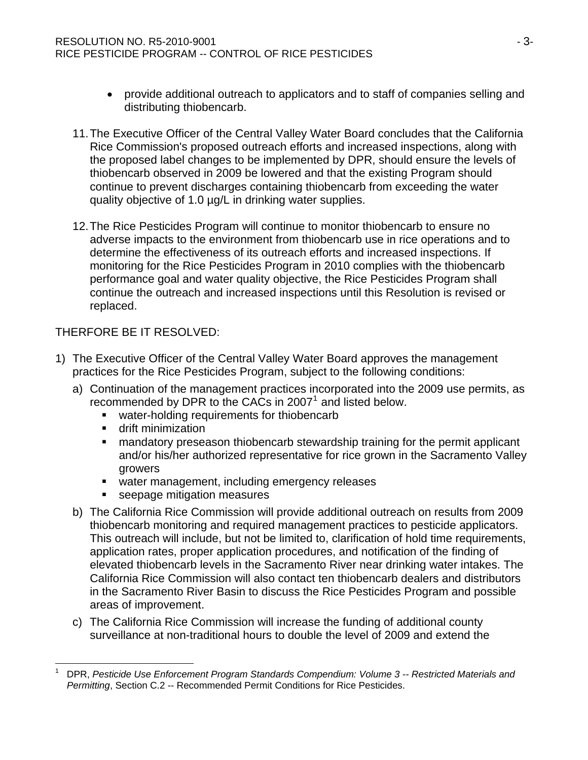- provide additional outreach to applicators and to staff of companies selling and distributing thiobencarb.
- 11. The Executive Officer of the Central Valley Water Board concludes that the California Rice Commission's proposed outreach efforts and increased inspections, along with the proposed label changes to be implemented by DPR, should ensure the levels of thiobencarb observed in 2009 be lowered and that the existing Program should continue to prevent discharges containing thiobencarb from exceeding the water quality objective of 1.0 µg/L in drinking water supplies.
- 12. The Rice Pesticides Program will continue to monitor thiobencarb to ensure no adverse impacts to the environment from thiobencarb use in rice operations and to determine the effectiveness of its outreach efforts and increased inspections. If monitoring for the Rice Pesticides Program in 2010 complies with the thiobencarb performance goal and water quality objective, the Rice Pesticides Program shall continue the outreach and increased inspections until this Resolution is revised or replaced.

# THERFORE BE IT RESOLVED:

- 1) The Executive Officer of the Central Valley Water Board approves the management practices for the Rice Pesticides Program, subject to the following conditions:
	- a) Continuation of the management practices incorporated into the 2009 use permits, as recommended by DPR to the CACs in 2007 $^1$  $^1$  and listed below.
		- **water-holding requirements for thiobencarb**
		- **drift minimization**

l

- **EXT** mandatory preseason thiobencarb stewardship training for the permit applicant and/or his/her authorized representative for rice grown in the Sacramento Valley growers
- water management, including emergency releases
- seepage mitigation measures
- b) The California Rice Commission will provide additional outreach on results from 2009 thiobencarb monitoring and required management practices to pesticide applicators. This outreach will include, but not be limited to, clarification of hold time requirements, application rates, proper application procedures, and notification of the finding of elevated thiobencarb levels in the Sacramento River near drinking water intakes. The California Rice Commission will also contact ten thiobencarb dealers and distributors in the Sacramento River Basin to discuss the Rice Pesticides Program and possible areas of improvement.
- c) The California Rice Commission will increase the funding of additional county surveillance at non-traditional hours to double the level of 2009 and extend the

<span id="page-2-0"></span><sup>1</sup> DPR, *Pesticide Use Enforcement Program Standards Compendium: Volume 3 -- Restricted Materials and Permitting*, Section C.2 -- Recommended Permit Conditions for Rice Pesticides.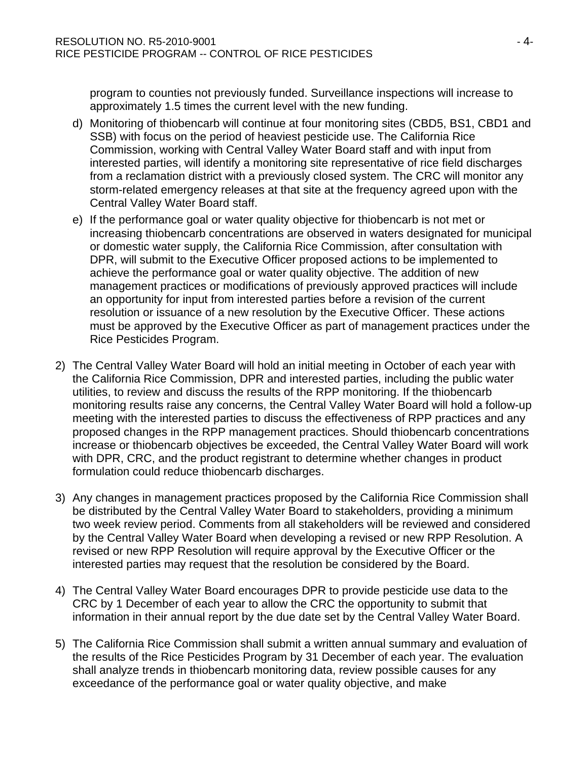program to counties not previously funded. Surveillance inspections will increase to approximately 1.5 times the current level with the new funding.

- d) Monitoring of thiobencarb will continue at four monitoring sites (CBD5, BS1, CBD1 and SSB) with focus on the period of heaviest pesticide use. The California Rice Commission, working with Central Valley Water Board staff and with input from interested parties, will identify a monitoring site representative of rice field discharges from a reclamation district with a previously closed system. The CRC will monitor any storm-related emergency releases at that site at the frequency agreed upon with the Central Valley Water Board staff.
- e) If the performance goal or water quality objective for thiobencarb is not met or increasing thiobencarb concentrations are observed in waters designated for municipal or domestic water supply, the California Rice Commission, after consultation with DPR, will submit to the Executive Officer proposed actions to be implemented to achieve the performance goal or water quality objective. The addition of new management practices or modifications of previously approved practices will include an opportunity for input from interested parties before a revision of the current resolution or issuance of a new resolution by the Executive Officer. These actions must be approved by the Executive Officer as part of management practices under the Rice Pesticides Program.
- 2) The Central Valley Water Board will hold an initial meeting in October of each year with the California Rice Commission, DPR and interested parties, including the public water utilities, to review and discuss the results of the RPP monitoring. If the thiobencarb monitoring results raise any concerns, the Central Valley Water Board will hold a follow-up meeting with the interested parties to discuss the effectiveness of RPP practices and any proposed changes in the RPP management practices. Should thiobencarb concentrations increase or thiobencarb objectives be exceeded, the Central Valley Water Board will work with DPR, CRC, and the product registrant to determine whether changes in product formulation could reduce thiobencarb discharges.
- 3) Any changes in management practices proposed by the California Rice Commission shall be distributed by the Central Valley Water Board to stakeholders, providing a minimum two week review period. Comments from all stakeholders will be reviewed and considered by the Central Valley Water Board when developing a revised or new RPP Resolution. A revised or new RPP Resolution will require approval by the Executive Officer or the interested parties may request that the resolution be considered by the Board.
- 4) The Central Valley Water Board encourages DPR to provide pesticide use data to the CRC by 1 December of each year to allow the CRC the opportunity to submit that information in their annual report by the due date set by the Central Valley Water Board.
- 5) The California Rice Commission shall submit a written annual summary and evaluation of the results of the Rice Pesticides Program by 31 December of each year. The evaluation shall analyze trends in thiobencarb monitoring data, review possible causes for any exceedance of the performance goal or water quality objective, and make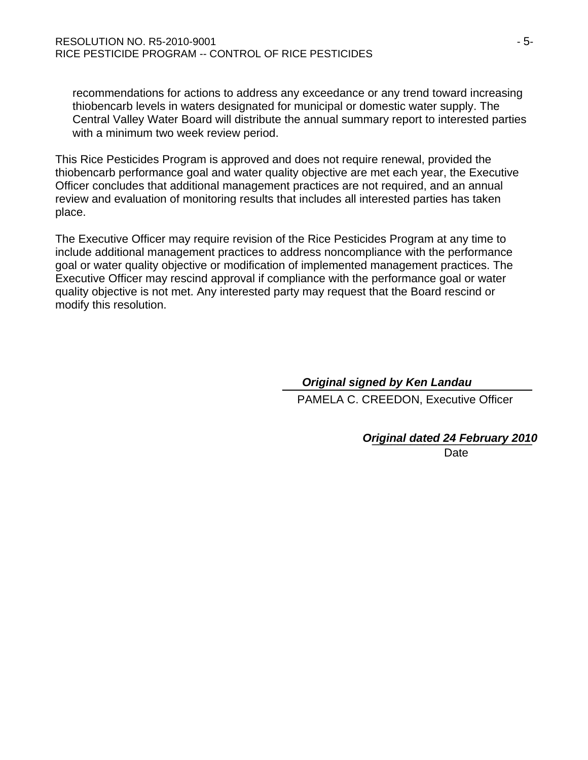recommendations for actions to address any exceedance or any trend toward increasing thiobencarb levels in waters designated for municipal or domestic water supply. The Central Valley Water Board will distribute the annual summary report to interested parties with a minimum two week review period.

This Rice Pesticides Program is approved and does not require renewal, provided the thiobencarb performance goal and water quality objective are met each year, the Executive Officer concludes that additional management practices are not required, and an annual review and evaluation of monitoring results that includes all interested parties has taken place.

The Executive Officer may require revision of the Rice Pesticides Program at any time to include additional management practices to address noncompliance with the performance goal or water quality objective or modification of implemented management practices. The Executive Officer may rescind approval if compliance with the performance goal or water quality objective is not met. Any interested party may request that the Board rescind or modify this resolution.

#### \_\_\_\_\_\_\_\_\_\_\_\_\_\_\_\_\_\_\_\_\_\_\_\_ *Original signed by Ken Landau* \_\_\_\_\_\_\_\_\_\_\_\_\_\_\_

PAMELA C. CREEDON, Executive Officer

## \_\_\_\_\_\_\_\_\_\_\_\_\_\_\_\_\_\_\_\_\_\_\_\_\_ *Original dated 24 February 2010*

Date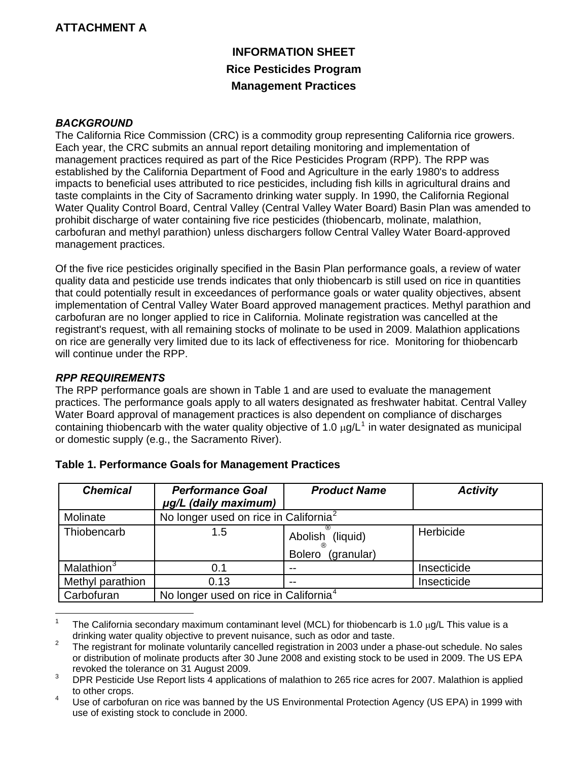# **ATTACHMENT A**

# **INFORMATION SHEET Rice Pesticides Program Management Practices**

#### *BACKGROUND*

The California Rice Commission (CRC) is a commodity group representing California rice growers. Each year, the CRC submits an annual report detailing monitoring and implementation of management practices required as part of the Rice Pesticides Program (RPP). The RPP was established by the California Department of Food and Agriculture in the early 1980's to address impacts to beneficial uses attributed to rice pesticides, including fish kills in agricultural drains and taste complaints in the City of Sacramento drinking water supply. In 1990, the California Regional Water Quality Control Board, Central Valley (Central Valley Water Board) Basin Plan was amended to prohibit discharge of water containing five rice pesticides (thiobencarb, molinate, malathion, carbofuran and methyl parathion) unless dischargers follow Central Valley Water Board-approved management practices.

Of the five rice pesticides originally specified in the Basin Plan performance goals, a review of water quality data and pesticide use trends indicates that only thiobencarb is still used on rice in quantities that could potentially result in exceedances of performance goals or water quality objectives, absent implementation of Central Valley Water Board approved management practices. Methyl parathion and carbofuran are no longer applied to rice in California. Molinate registration was cancelled at the registrant's request, with all remaining stocks of molinate to be used in 2009. Malathion applications on rice are generally very limited due to its lack of effectiveness for rice. Monitoring for thiobencarb will continue under the RPP.

#### *RPP REQUIREMENTS*

The RPP performance goals are shown in Table 1 and are used to evaluate the management practices. The performance goals apply to all waters designated as freshwater habitat. Central Valley Water Board approval of management practices is also dependent on compliance of discharges containing thiobencarb with the water quality objective of [1](#page-5-0).0  $\mu q/L^1$  in water designated as municipal or domestic supply (e.g., the Sacramento River).

| <b>Chemical</b>        | <b>Performance Goal</b><br>µg/L (daily maximum)   | <b>Product Name</b>                             | <b>Activity</b> |
|------------------------|---------------------------------------------------|-------------------------------------------------|-----------------|
| Molinate               | No longer used on rice in California <sup>2</sup> |                                                 |                 |
| Thiobencarb            | 1.5                                               | Abolish (liquid)<br>(granular)<br><b>Bolero</b> | Herbicide       |
| Malathion <sup>3</sup> | 0.1                                               | --                                              | Insecticide     |
| Methyl parathion       | 0.13                                              | --                                              | Insecticide     |
| Carbofuran             | No longer used on rice in California <sup>4</sup> |                                                 |                 |

#### **Table 1. Performance Goals for Management Practices**

<span id="page-5-0"></span> $\frac{1}{1}$  The California secondary maximum contaminant level (MCL) for thiobencarb is 1.0 μg/L This value is a drinking water quality objective to prevent nuisance, such as odor and taste.<br><sup>2</sup> The registrant for melinate valuatarily concelled registration in 2002 under a

<span id="page-5-1"></span>The registrant for molinate voluntarily cancelled registration in 2003 under a phase-out schedule. No sales or distribution of molinate products after 30 June 2008 and existing stock to be used in 2009. The US EPA revoked the tolerance on 31 August 2009.

<span id="page-5-2"></span>DPR Pesticide Use Report lists 4 applications of malathion to 265 rice acres for 2007. Malathion is applied to other crops.<br> $\frac{4}{1}$  Lies of carbotu

<span id="page-5-3"></span>Use of carbofuran on rice was banned by the US Environmental Protection Agency (US EPA) in 1999 with use of existing stock to conclude in 2000.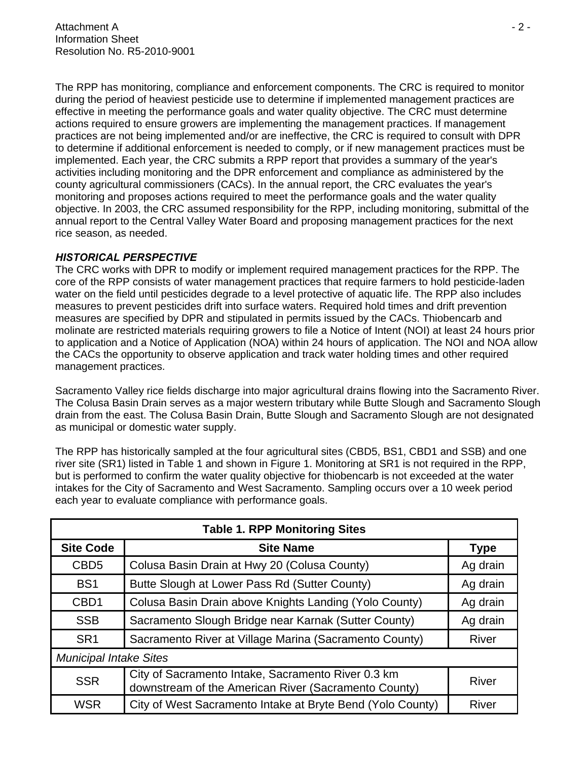The RPP has monitoring, compliance and enforcement components. The CRC is required to monitor during the period of heaviest pesticide use to determine if implemented management practices are effective in meeting the performance goals and water quality objective. The CRC must determine actions required to ensure growers are implementing the management practices. If management practices are not being implemented and/or are ineffective, the CRC is required to consult with DPR to determine if additional enforcement is needed to comply, or if new management practices must be implemented. Each year, the CRC submits a RPP report that provides a summary of the year's activities including monitoring and the DPR enforcement and compliance as administered by the county agricultural commissioners (CACs). In the annual report, the CRC evaluates the year's monitoring and proposes actions required to meet the performance goals and the water quality objective. In 2003, the CRC assumed responsibility for the RPP, including monitoring, submittal of the annual report to the Central Valley Water Board and proposing management practices for the next rice season, as needed.

### *HISTORICAL PERSPECTIVE*

The CRC works with DPR to modify or implement required management practices for the RPP. The core of the RPP consists of water management practices that require farmers to hold pesticide-laden water on the field until pesticides degrade to a level protective of aquatic life. The RPP also includes measures to prevent pesticides drift into surface waters. Required hold times and drift prevention measures are specified by DPR and stipulated in permits issued by the CACs. Thiobencarb and molinate are restricted materials requiring growers to file a Notice of Intent (NOI) at least 24 hours prior to application and a Notice of Application (NOA) within 24 hours of application. The NOI and NOA allow the CACs the opportunity to observe application and track water holding times and other required management practices.

Sacramento Valley rice fields discharge into major agricultural drains flowing into the Sacramento River. The Colusa Basin Drain serves as a major western tributary while Butte Slough and Sacramento Slough drain from the east. The Colusa Basin Drain, Butte Slough and Sacramento Slough are not designated as municipal or domestic water supply.

The RPP has historically sampled at the four agricultural sites (CBD5, BS1, CBD1 and SSB) and one river site (SR1) listed in Table 1 and shown in Figure 1. Monitoring at SR1 is not required in the RPP, but is performed to confirm the water quality objective for thiobencarb is not exceeded at the water intakes for the City of Sacramento and West Sacramento. Sampling occurs over a 10 week period each year to evaluate compliance with performance goals.

| <b>Table 1. RPP Monitoring Sites</b> |                                                                                                            |              |  |  |
|--------------------------------------|------------------------------------------------------------------------------------------------------------|--------------|--|--|
| <b>Site Code</b>                     | <b>Site Name</b>                                                                                           | <b>Type</b>  |  |  |
| CBD <sub>5</sub>                     | Colusa Basin Drain at Hwy 20 (Colusa County)                                                               | Ag drain     |  |  |
| BS <sub>1</sub>                      | Butte Slough at Lower Pass Rd (Sutter County)                                                              | Ag drain     |  |  |
| CBD <sub>1</sub>                     | Colusa Basin Drain above Knights Landing (Yolo County)                                                     | Ag drain     |  |  |
| <b>SSB</b>                           | Sacramento Slough Bridge near Karnak (Sutter County)                                                       | Ag drain     |  |  |
| SR <sub>1</sub>                      | Sacramento River at Village Marina (Sacramento County)                                                     | River        |  |  |
| <b>Municipal Intake Sites</b>        |                                                                                                            |              |  |  |
| <b>SSR</b>                           | City of Sacramento Intake, Sacramento River 0.3 km<br>downstream of the American River (Sacramento County) | River        |  |  |
| <b>WSR</b>                           | City of West Sacramento Intake at Bryte Bend (Yolo County)                                                 | <b>River</b> |  |  |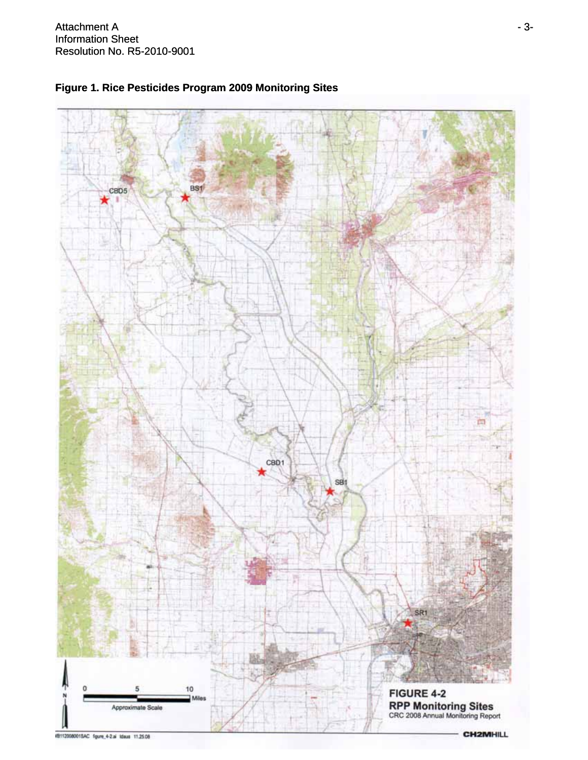



**CH2MHILL**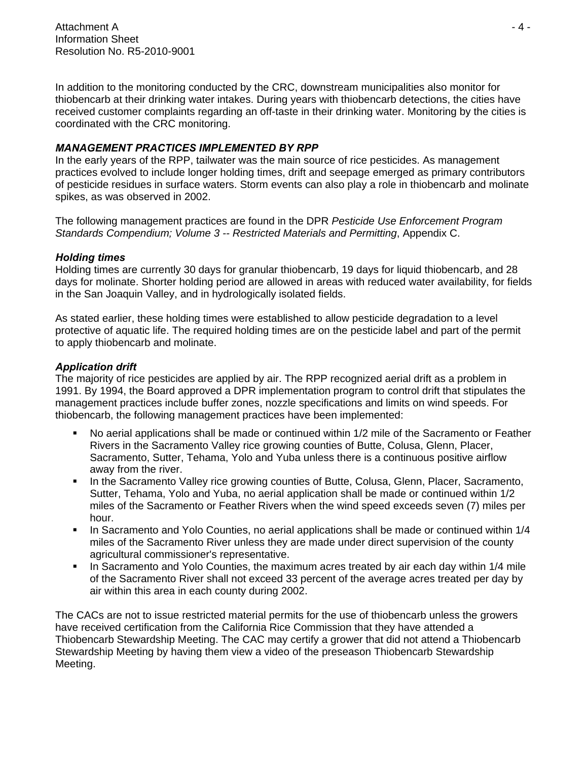Attachment A - 4 - Information Sheet Resolution No. R5-2010-9001

In addition to the monitoring conducted by the CRC, downstream municipalities also monitor for thiobencarb at their drinking water intakes. During years with thiobencarb detections, the cities have received customer complaints regarding an off-taste in their drinking water. Monitoring by the cities is coordinated with the CRC monitoring.

#### *MANAGEMENT PRACTICES IMPLEMENTED BY RPP*

In the early years of the RPP, tailwater was the main source of rice pesticides. As management practices evolved to include longer holding times, drift and seepage emerged as primary contributors of pesticide residues in surface waters. Storm events can also play a role in thiobencarb and molinate spikes, as was observed in 2002.

The following management practices are found in the DPR *Pesticide Use Enforcement Program Standards Compendium; Volume 3 -- Restricted Materials and Permitting*, Appendix C.

#### *Holding times*

Holding times are currently 30 days for granular thiobencarb, 19 days for liquid thiobencarb, and 28 days for molinate. Shorter holding period are allowed in areas with reduced water availability, for fields in the San Joaquin Valley, and in hydrologically isolated fields.

As stated earlier, these holding times were established to allow pesticide degradation to a level protective of aquatic life. The required holding times are on the pesticide label and part of the permit to apply thiobencarb and molinate.

#### *Application drift*

The majority of rice pesticides are applied by air. The RPP recognized aerial drift as a problem in 1991. By 1994, the Board approved a DPR implementation program to control drift that stipulates the management practices include buffer zones, nozzle specifications and limits on wind speeds. For thiobencarb, the following management practices have been implemented:

- No aerial applications shall be made or continued within 1/2 mile of the Sacramento or Feather Rivers in the Sacramento Valley rice growing counties of Butte, Colusa, Glenn, Placer, Sacramento, Sutter, Tehama, Yolo and Yuba unless there is a continuous positive airflow away from the river.
- In the Sacramento Valley rice growing counties of Butte, Colusa, Glenn, Placer, Sacramento, Sutter, Tehama, Yolo and Yuba, no aerial application shall be made or continued within 1/2 miles of the Sacramento or Feather Rivers when the wind speed exceeds seven (7) miles per hour.
- In Sacramento and Yolo Counties, no aerial applications shall be made or continued within 1/4 miles of the Sacramento River unless they are made under direct supervision of the county agricultural commissioner's representative.
- In Sacramento and Yolo Counties, the maximum acres treated by air each day within 1/4 mile of the Sacramento River shall not exceed 33 percent of the average acres treated per day by air within this area in each county during 2002.

The CACs are not to issue restricted material permits for the use of thiobencarb unless the growers have received certification from the California Rice Commission that they have attended a Thiobencarb Stewardship Meeting. The CAC may certify a grower that did not attend a Thiobencarb Stewardship Meeting by having them view a video of the preseason Thiobencarb Stewardship Meeting.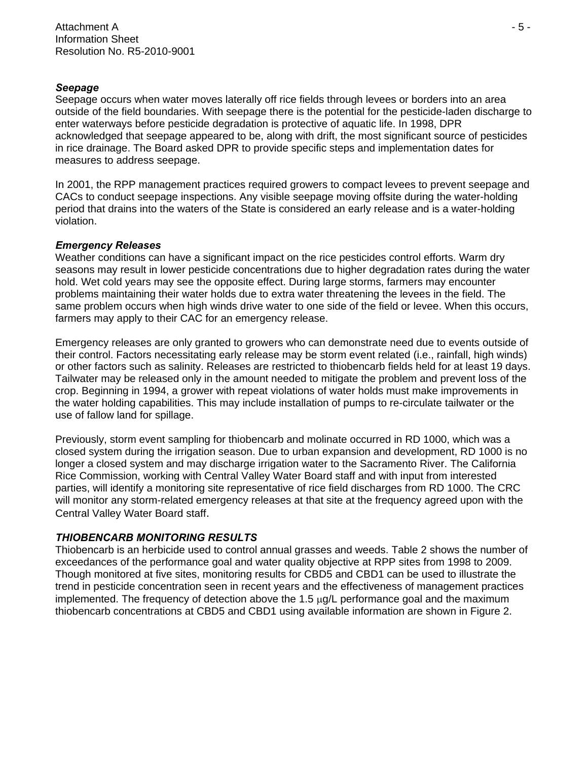#### *Seepage*

Seepage occurs when water moves laterally off rice fields through levees or borders into an area outside of the field boundaries. With seepage there is the potential for the pesticide-laden discharge to enter waterways before pesticide degradation is protective of aquatic life. In 1998, DPR acknowledged that seepage appeared to be, along with drift, the most significant source of pesticides in rice drainage. The Board asked DPR to provide specific steps and implementation dates for measures to address seepage.

In 2001, the RPP management practices required growers to compact levees to prevent seepage and CACs to conduct seepage inspections. Any visible seepage moving offsite during the water-holding period that drains into the waters of the State is considered an early release and is a water-holding violation.

#### *Emergency Releases*

Weather conditions can have a significant impact on the rice pesticides control efforts. Warm dry seasons may result in lower pesticide concentrations due to higher degradation rates during the water hold. Wet cold years may see the opposite effect. During large storms, farmers may encounter problems maintaining their water holds due to extra water threatening the levees in the field. The same problem occurs when high winds drive water to one side of the field or levee. When this occurs, farmers may apply to their CAC for an emergency release.

Emergency releases are only granted to growers who can demonstrate need due to events outside of their control. Factors necessitating early release may be storm event related (i.e., rainfall, high winds) or other factors such as salinity. Releases are restricted to thiobencarb fields held for at least 19 days. Tailwater may be released only in the amount needed to mitigate the problem and prevent loss of the crop. Beginning in 1994, a grower with repeat violations of water holds must make improvements in the water holding capabilities. This may include installation of pumps to re-circulate tailwater or the use of fallow land for spillage.

Previously, storm event sampling for thiobencarb and molinate occurred in RD 1000, which was a closed system during the irrigation season. Due to urban expansion and development, RD 1000 is no longer a closed system and may discharge irrigation water to the Sacramento River. The California Rice Commission, working with Central Valley Water Board staff and with input from interested parties, will identify a monitoring site representative of rice field discharges from RD 1000. The CRC will monitor any storm-related emergency releases at that site at the frequency agreed upon with the Central Valley Water Board staff.

#### *THIOBENCARB MONITORING RESULTS*

Thiobencarb is an herbicide used to control annual grasses and weeds. Table 2 shows the number of exceedances of the performance goal and water quality objective at RPP sites from 1998 to 2009. Though monitored at five sites, monitoring results for CBD5 and CBD1 can be used to illustrate the trend in pesticide concentration seen in recent years and the effectiveness of management practices implemented. The frequency of detection above the  $1.5 \mu g/L$  performance goal and the maximum thiobencarb concentrations at CBD5 and CBD1 using available information are shown in Figure 2.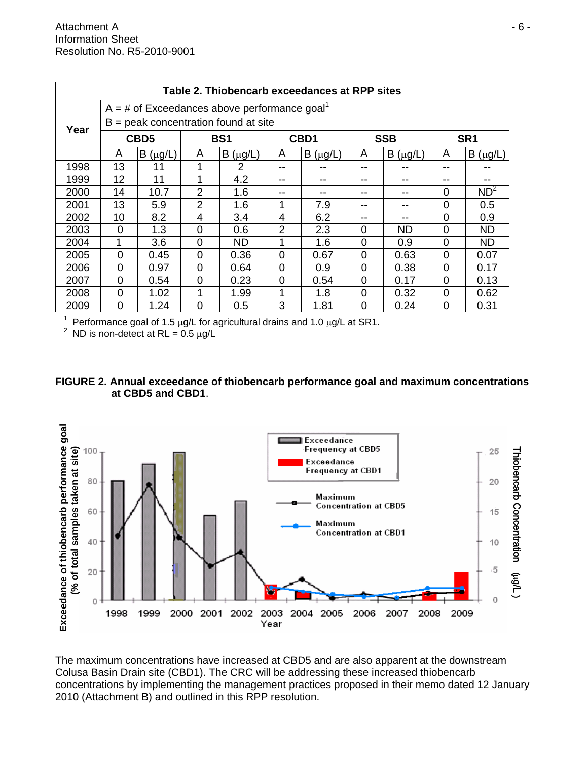| Table 2. Thiobencarb exceedances at RPP sites |                                        |                                                            |                 |              |                |              |            |              |                 |                 |
|-----------------------------------------------|----------------------------------------|------------------------------------------------------------|-----------------|--------------|----------------|--------------|------------|--------------|-----------------|-----------------|
|                                               |                                        | $A = #$ of Exceedances above performance goal <sup>1</sup> |                 |              |                |              |            |              |                 |                 |
| Year                                          | $B =$ peak concentration found at site |                                                            |                 |              |                |              |            |              |                 |                 |
|                                               | CBD <sub>5</sub>                       |                                                            | BS <sub>1</sub> |              | CBD1           |              | <b>SSB</b> |              | SR <sub>1</sub> |                 |
|                                               | A                                      | $B(\mu g/L)$                                               | A               | $B(\mu g/L)$ | A              | $B(\mu g/L)$ | A          | $B(\mu g/L)$ | A               | $B(\mu g/L)$    |
| 1998                                          | 13                                     | 11                                                         |                 | 2            | --             |              |            |              | --              |                 |
| 1999                                          | 12                                     | 11                                                         |                 | 4.2          | --             | --           | --         |              | --              |                 |
| 2000                                          | 14                                     | 10.7                                                       | $\overline{2}$  | 1.6          | --             | --           |            |              | 0               | ND <sup>2</sup> |
| 2001                                          | 13                                     | 5.9                                                        | 2               | 1.6          | 1              | 7.9          |            | --           | $\Omega$        | 0.5             |
| 2002                                          | 10                                     | 8.2                                                        | 4               | 3.4          | 4              | 6.2          |            |              | $\Omega$        | 0.9             |
| 2003                                          | $\Omega$                               | 1.3                                                        | $\Omega$        | 0.6          | $\overline{2}$ | 2.3          | $\Omega$   | <b>ND</b>    | $\overline{0}$  | <b>ND</b>       |
| 2004                                          | 1                                      | 3.6                                                        | $\Omega$        | <b>ND</b>    | 1              | 1.6          | $\Omega$   | 0.9          | 0               | ND.             |
| 2005                                          | $\Omega$                               | 0.45                                                       | $\Omega$        | 0.36         | $\Omega$       | 0.67         | $\Omega$   | 0.63         | $\Omega$        | 0.07            |
| 2006                                          | $\Omega$                               | 0.97                                                       | $\Omega$        | 0.64         | $\Omega$       | 0.9          | 0          | 0.38         | 0               | 0.17            |
| 2007                                          | $\Omega$                               | 0.54                                                       | $\Omega$        | 0.23         | $\Omega$       | 0.54         | $\Omega$   | 0.17         | $\Omega$        | 0.13            |
| 2008                                          | $\Omega$                               | 1.02                                                       |                 | 1.99         | 1              | 1.8          | 0          | 0.32         | $\Omega$        | 0.62            |
| 2009                                          | 0                                      | 1.24                                                       | $\overline{0}$  | 0.5          | 3              | 1.81         | $\Omega$   | 0.24         | 0               | 0.31            |

1 Performance goal of 1.5 μg/L for agricultural drains and 1.0 μg/L at SR1.

<sup>2</sup> ND is non-detect at RL =  $0.5 \mu g/L$ 





The maximum concentrations have increased at CBD5 and are also apparent at the downstream Colusa Basin Drain site (CBD1). The CRC will be addressing these increased thiobencarb concentrations by implementing the management practices proposed in their memo dated 12 January 2010 (Attachment B) and outlined in this RPP resolution.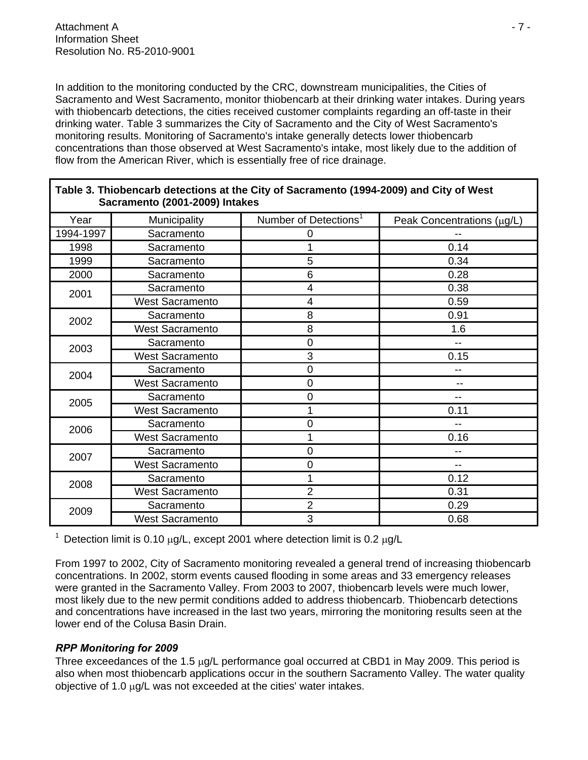In addition to the monitoring conducted by the CRC, downstream municipalities, the Cities of Sacramento and West Sacramento, monitor thiobencarb at their drinking water intakes. During years with thiobencarb detections, the cities received customer complaints regarding an off-taste in their drinking water. Table 3 summarizes the City of Sacramento and the City of West Sacramento's monitoring results. Monitoring of Sacramento's intake generally detects lower thiobencarb concentrations than those observed at West Sacramento's intake, most likely due to the addition of flow from the American River, which is essentially free of rice drainage.

| Sacramento (2001-2009) Intakes |                        |                                   |                            |  |  |
|--------------------------------|------------------------|-----------------------------------|----------------------------|--|--|
| Year                           | Municipality           | Number of Detections <sup>1</sup> | Peak Concentrations (µg/L) |  |  |
| 1994-1997                      | Sacramento             | 0                                 |                            |  |  |
| 1998                           | Sacramento             |                                   | 0.14                       |  |  |
| 1999                           | Sacramento             | 5                                 | 0.34                       |  |  |
| 2000                           | Sacramento             | 6                                 | 0.28                       |  |  |
| 2001                           | Sacramento             | 4                                 | 0.38                       |  |  |
|                                | <b>West Sacramento</b> | 4                                 | 0.59                       |  |  |
| 2002                           | Sacramento             | 8                                 | 0.91                       |  |  |
|                                | <b>West Sacramento</b> | 8                                 | 1.6                        |  |  |
| 2003                           | Sacramento             | $\mathbf 0$                       | $- -$                      |  |  |
|                                | <b>West Sacramento</b> | 3                                 | 0.15                       |  |  |
| 2004                           | Sacramento             | 0                                 | --                         |  |  |
|                                | <b>West Sacramento</b> | 0                                 | --                         |  |  |
| 2005                           | Sacramento             | 0                                 | --                         |  |  |
|                                | <b>West Sacramento</b> |                                   | 0.11                       |  |  |
| 2006                           | Sacramento             | $\mathbf 0$                       |                            |  |  |
|                                | <b>West Sacramento</b> |                                   | 0.16                       |  |  |
| 2007                           | Sacramento             | 0                                 |                            |  |  |
|                                | <b>West Sacramento</b> | 0                                 |                            |  |  |
| 2008                           | Sacramento             |                                   | 0.12                       |  |  |
|                                | <b>West Sacramento</b> | $\overline{2}$                    | 0.31                       |  |  |
| 2009                           | Sacramento             | $\overline{2}$                    | 0.29                       |  |  |
|                                | <b>West Sacramento</b> | 3                                 | 0.68                       |  |  |

# **Table 3. Thiobencarb detections at the City of Sacramento (1994-2009) and City of West**

<sup>1</sup> Detection limit is 0.10  $\mu$ g/L, except 2001 where detection limit is 0.2  $\mu$ g/L

From 1997 to 2002, City of Sacramento monitoring revealed a general trend of increasing thiobencarb concentrations. In 2002, storm events caused flooding in some areas and 33 emergency releases were granted in the Sacramento Valley. From 2003 to 2007, thiobencarb levels were much lower, most likely due to the new permit conditions added to address thiobencarb. Thiobencarb detections and concentrations have increased in the last two years, mirroring the monitoring results seen at the lower end of the Colusa Basin Drain.

### *RPP Monitoring for 2009*

Three exceedances of the 1.5 μg/L performance goal occurred at CBD1 in May 2009. This period is also when most thiobencarb applications occur in the southern Sacramento Valley. The water quality objective of 1.0 μg/L was not exceeded at the cities' water intakes.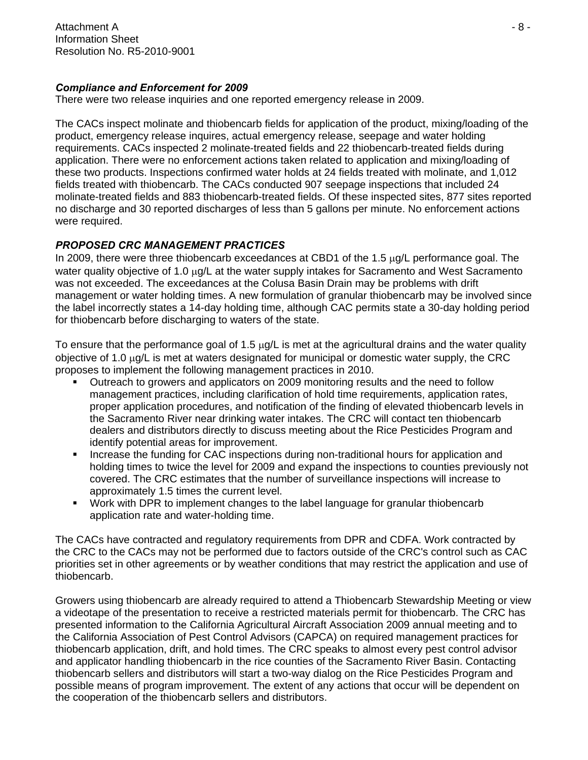Attachment A - 8 - Information Sheet Resolution No. R5-2010-9001

#### *Compliance and Enforcement for 2009*

There were two release inquiries and one reported emergency release in 2009.

The CACs inspect molinate and thiobencarb fields for application of the product, mixing/loading of the product, emergency release inquires, actual emergency release, seepage and water holding requirements. CACs inspected 2 molinate-treated fields and 22 thiobencarb-treated fields during application. There were no enforcement actions taken related to application and mixing/loading of these two products. Inspections confirmed water holds at 24 fields treated with molinate, and 1,012 fields treated with thiobencarb. The CACs conducted 907 seepage inspections that included 24 molinate-treated fields and 883 thiobencarb-treated fields. Of these inspected sites, 877 sites reported no discharge and 30 reported discharges of less than 5 gallons per minute. No enforcement actions were required.

### *PROPOSED CRC MANAGEMENT PRACTICES*

In 2009, there were three thiobencarb exceedances at CBD1 of the 1.5 μg/L performance goal. The water quality objective of 1.0 μg/L at the water supply intakes for Sacramento and West Sacramento was not exceeded. The exceedances at the Colusa Basin Drain may be problems with drift management or water holding times. A new formulation of granular thiobencarb may be involved since the label incorrectly states a 14-day holding time, although CAC permits state a 30-day holding period for thiobencarb before discharging to waters of the state.

To ensure that the performance goal of 1.5 μg/L is met at the agricultural drains and the water quality objective of 1.0 μg/L is met at waters designated for municipal or domestic water supply, the CRC proposes to implement the following management practices in 2010.

- Outreach to growers and applicators on 2009 monitoring results and the need to follow management practices, including clarification of hold time requirements, application rates, proper application procedures, and notification of the finding of elevated thiobencarb levels in the Sacramento River near drinking water intakes. The CRC will contact ten thiobencarb dealers and distributors directly to discuss meeting about the Rice Pesticides Program and identify potential areas for improvement.
- Increase the funding for CAC inspections during non-traditional hours for application and holding times to twice the level for 2009 and expand the inspections to counties previously not covered. The CRC estimates that the number of surveillance inspections will increase to approximately 1.5 times the current level.
- Work with DPR to implement changes to the label language for granular thiobencarb application rate and water-holding time.

The CACs have contracted and regulatory requirements from DPR and CDFA. Work contracted by the CRC to the CACs may not be performed due to factors outside of the CRC's control such as CAC priorities set in other agreements or by weather conditions that may restrict the application and use of thiobencarb.

Growers using thiobencarb are already required to attend a Thiobencarb Stewardship Meeting or view a videotape of the presentation to receive a restricted materials permit for thiobencarb. The CRC has presented information to the California Agricultural Aircraft Association 2009 annual meeting and to the California Association of Pest Control Advisors (CAPCA) on required management practices for thiobencarb application, drift, and hold times. The CRC speaks to almost every pest control advisor and applicator handling thiobencarb in the rice counties of the Sacramento River Basin. Contacting thiobencarb sellers and distributors will start a two-way dialog on the Rice Pesticides Program and possible means of program improvement. The extent of any actions that occur will be dependent on the cooperation of the thiobencarb sellers and distributors.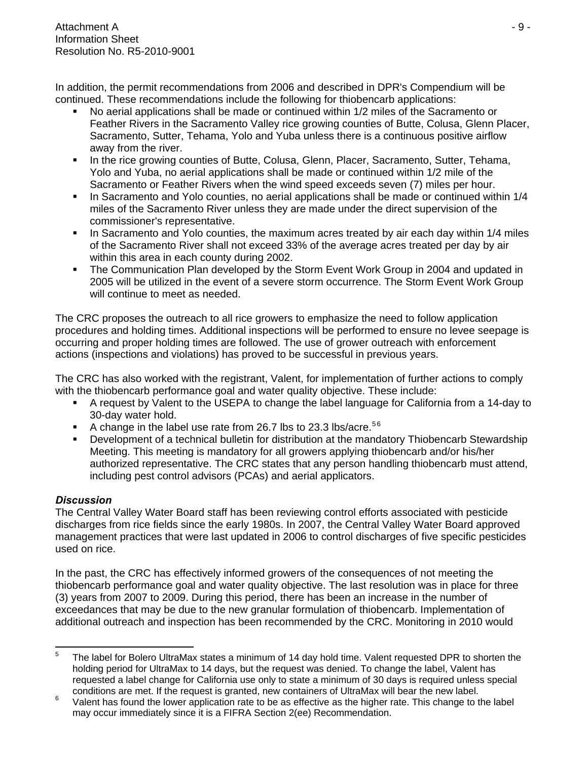In addition, the permit recommendations from 2006 and described in DPR's Compendium will be continued. These recommendations include the following for thiobencarb applications:

- No aerial applications shall be made or continued within 1/2 miles of the Sacramento or Feather Rivers in the Sacramento Valley rice growing counties of Butte, Colusa, Glenn Placer, Sacramento, Sutter, Tehama, Yolo and Yuba unless there is a continuous positive airflow away from the river.
- In the rice growing counties of Butte, Colusa, Glenn, Placer, Sacramento, Sutter, Tehama, Yolo and Yuba, no aerial applications shall be made or continued within 1/2 mile of the Sacramento or Feather Rivers when the wind speed exceeds seven (7) miles per hour.
- In Sacramento and Yolo counties, no aerial applications shall be made or continued within 1/4 miles of the Sacramento River unless they are made under the direct supervision of the commissioner's representative.
- In Sacramento and Yolo counties, the maximum acres treated by air each day within 1/4 miles of the Sacramento River shall not exceed 33% of the average acres treated per day by air within this area in each county during 2002.
- The Communication Plan developed by the Storm Event Work Group in 2004 and updated in 2005 will be utilized in the event of a severe storm occurrence. The Storm Event Work Group will continue to meet as needed.

The CRC proposes the outreach to all rice growers to emphasize the need to follow application procedures and holding times. Additional inspections will be performed to ensure no levee seepage is occurring and proper holding times are followed. The use of grower outreach with enforcement actions (inspections and violations) has proved to be successful in previous years.

The CRC has also worked with the registrant, Valent, for implementation of further actions to comply with the thiobencarb performance goal and water quality objective. These include:

- A request by Valent to the USEPA to change the label language for California from a 14-day to 30-day water hold.
- A change in the label use rate from 26.7 lbs to 23.3 lbs/acre.<sup>56</sup>
- **•** Development of a technical bulletin for distribution at the mandatory Thiobencarb Stewardship Meeting. This meeting is mandatory for all growers applying thiobencarb and/or his/her authorized representative. The CRC states that any person handling thiobencarb must attend, including pest control advisors (PCAs) and aerial applicators.

# *Discussion*

The Central Valley Water Board staff has been reviewing control efforts associated with pesticide discharges from rice fields since the early 1980s. In 2007, the Central Valley Water Board approved management practices that were last updated in 2006 to control discharges of five specific pesticides used on rice.

In the past, the CRC has effectively informed growers of the consequences of not meeting the thiobencarb performance goal and water quality objective. The last resolution was in place for three (3) years from 2007 to 2009. During this period, there has been an increase in the number of exceedances that may be due to the new granular formulation of thiobencarb. Implementation of additional outreach and inspection has been recommended by the CRC. Monitoring in 2010 would

<span id="page-13-0"></span> $\frac{1}{5}$  The label for Bolero UltraMax states a minimum of 14 day hold time. Valent requested DPR to shorten the holding period for UltraMax to 14 days, but the request was denied. To change the label, Valent has requested a label change for California use only to state a minimum of 30 days is required unless special conditions are met. If the request is granted, new containers of UltraMax will bear the new label.

<sup>6</sup> Valent has found the lower application rate to be as effective as the higher rate. This change to the label may occur immediately since it is a FIFRA Section 2(ee) Recommendation.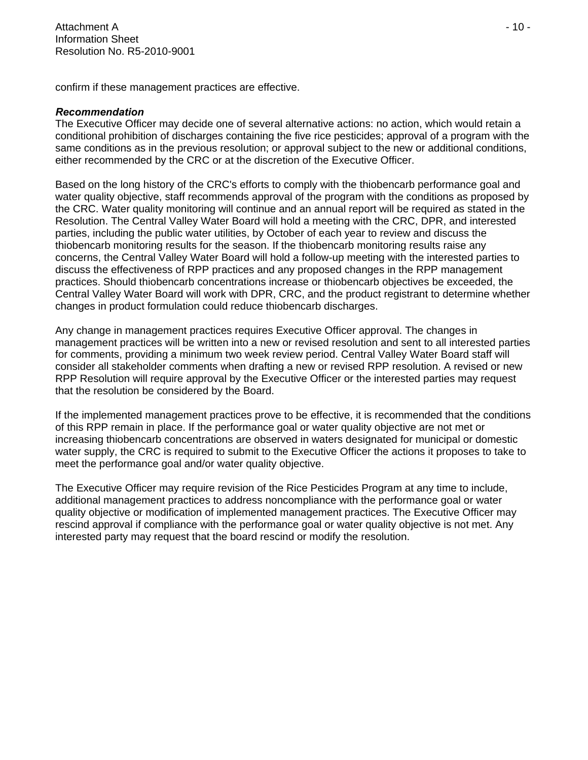confirm if these management practices are effective.

#### *Recommendation*

The Executive Officer may decide one of several alternative actions: no action, which would retain a conditional prohibition of discharges containing the five rice pesticides; approval of a program with the same conditions as in the previous resolution; or approval subject to the new or additional conditions, either recommended by the CRC or at the discretion of the Executive Officer.

Based on the long history of the CRC's efforts to comply with the thiobencarb performance goal and water quality objective, staff recommends approval of the program with the conditions as proposed by the CRC. Water quality monitoring will continue and an annual report will be required as stated in the Resolution. The Central Valley Water Board will hold a meeting with the CRC, DPR, and interested parties, including the public water utilities, by October of each year to review and discuss the thiobencarb monitoring results for the season. If the thiobencarb monitoring results raise any concerns, the Central Valley Water Board will hold a follow-up meeting with the interested parties to discuss the effectiveness of RPP practices and any proposed changes in the RPP management practices. Should thiobencarb concentrations increase or thiobencarb objectives be exceeded, the Central Valley Water Board will work with DPR, CRC, and the product registrant to determine whether changes in product formulation could reduce thiobencarb discharges.

Any change in management practices requires Executive Officer approval. The changes in management practices will be written into a new or revised resolution and sent to all interested parties for comments, providing a minimum two week review period. Central Valley Water Board staff will consider all stakeholder comments when drafting a new or revised RPP resolution. A revised or new RPP Resolution will require approval by the Executive Officer or the interested parties may request that the resolution be considered by the Board.

If the implemented management practices prove to be effective, it is recommended that the conditions of this RPP remain in place. If the performance goal or water quality objective are not met or increasing thiobencarb concentrations are observed in waters designated for municipal or domestic water supply, the CRC is required to submit to the Executive Officer the actions it proposes to take to meet the performance goal and/or water quality objective.

The Executive Officer may require revision of the Rice Pesticides Program at any time to include, additional management practices to address noncompliance with the performance goal or water quality objective or modification of implemented management practices. The Executive Officer may rescind approval if compliance with the performance goal or water quality objective is not met. Any interested party may request that the board rescind or modify the resolution.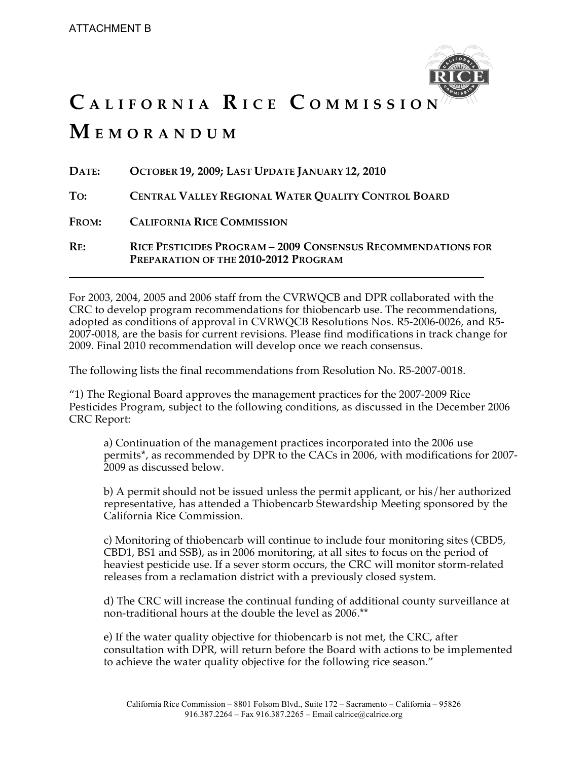

# **C A L I F O R N I A R I C E C O M M I S S I O N M E M O R A N D U M**

| DATE:        | OCTOBER 19, 2009; LAST UPDATE JANUARY 12, 2010                                                       |
|--------------|------------------------------------------------------------------------------------------------------|
| To:          | CENTRAL VALLEY REGIONAL WATER QUALITY CONTROL BOARD                                                  |
| <b>FROM:</b> | <b>CALIFORNIA RICE COMMISSION</b>                                                                    |
| RE:          | RICE PESTICIDES PROGRAM - 2009 CONSENSUS RECOMMENDATIONS FOR<br>PREPARATION OF THE 2010-2012 PROGRAM |

For 2003, 2004, 2005 and 2006 staff from the CVRWQCB and DPR collaborated with the CRC to develop program recommendations for thiobencarb use. The recommendations, adopted as conditions of approval in CVRWQCB Resolutions Nos. R5-2006-0026, and R5- 2007-0018, are the basis for current revisions. Please find modifications in track change for 2009. Final 2010 recommendation will develop once we reach consensus.

The following lists the final recommendations from Resolution No. R5-2007-0018.

"1) The Regional Board approves the management practices for the 2007-2009 Rice Pesticides Program, subject to the following conditions, as discussed in the December 2006 CRC Report:

a) Continuation of the management practices incorporated into the 200*6* use permits**\***, as recommended by DPR to the CACs in 2006, with modifications for 2007- 2009 as discussed below.

b) A permit should not be issued unless the permit applicant, or his/her authorized representative, has attended a Thiobencarb Stewardship Meeting sponsored by the California Rice Commission.

c) Monitoring of thiobencarb will continue to include four monitoring sites (CBD5, CBD1, BS1 and SSB), as in 2006 monitoring, at all sites to focus on the period of heaviest pesticide use. If a sever storm occurs, the CRC will monitor storm-related releases from a reclamation district with a previously closed system.

d) The CRC will increase the continual funding of additional county surveillance at non-traditional hours at the double the level as 200*6*.\*\*

e) If the water quality objective for thiobencarb is not met, the CRC, after consultation with DPR, will return before the Board with actions to be implemented to achieve the water quality objective for the following rice season."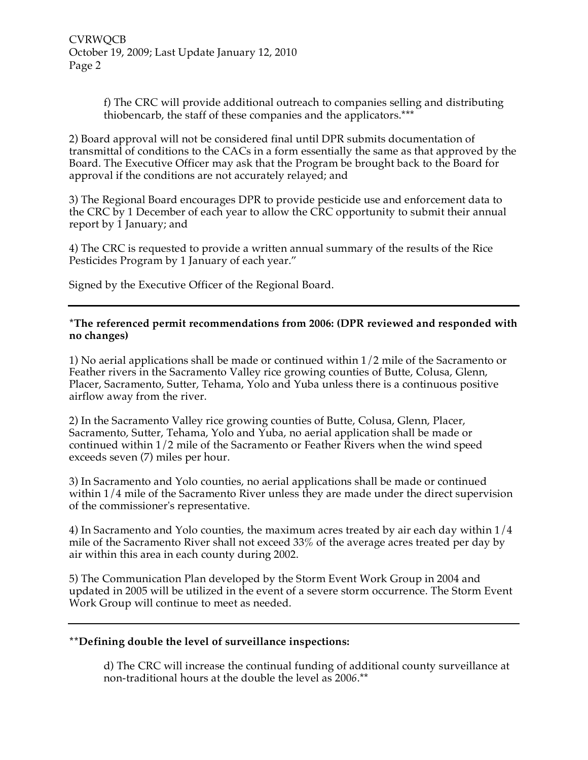f) The CRC will provide additional outreach to companies selling and distributing thiobencarb, the staff of these companies and the applicators.\*\*\*

2) Board approval will not be considered final until DPR submits documentation of transmittal of conditions to the CACs in a form essentially the same as that approved by the Board. The Executive Officer may ask that the Program be brought back to the Board for approval if the conditions are not accurately relayed; and

3) The Regional Board encourages DPR to provide pesticide use and enforcement data to the CRC by 1 December of each year to allow the CRC opportunity to submit their annual report by 1 January; and

4) The CRC is requested to provide a written annual summary of the results of the Rice Pesticides Program by 1 January of each year."

Signed by the Executive Officer of the Regional Board.

#### **\*The referenced permit recommendations from 2006: (DPR reviewed and responded with no changes)**

1) No aerial applications shall be made or continued within 1/2 mile of the Sacramento or Feather rivers in the Sacramento Valley rice growing counties of Butte, Colusa, Glenn, Placer, Sacramento, Sutter, Tehama, Yolo and Yuba unless there is a continuous positive airflow away from the river.

2) In the Sacramento Valley rice growing counties of Butte, Colusa, Glenn, Placer, Sacramento, Sutter, Tehama, Yolo and Yuba, no aerial application shall be made or continued within 1/2 mile of the Sacramento or Feather Rivers when the wind speed exceeds seven (7) miles per hour.

3) In Sacramento and Yolo counties, no aerial applications shall be made or continued within 1/4 mile of the Sacramento River unless they are made under the direct supervision of the commissioner's representative.

4) In Sacramento and Yolo counties, the maximum acres treated by air each day within 1/4 mile of the Sacramento River shall not exceed 33% of the average acres treated per day by air within this area in each county during 2002.

5) The Communication Plan developed by the Storm Event Work Group in 2004 and updated in 2005 will be utilized in the event of a severe storm occurrence. The Storm Event Work Group will continue to meet as needed.

#### **\*\*Defining double the level of surveillance inspections:**

d) The CRC will increase the continual funding of additional county surveillance at non-traditional hours at the double the level as 200*6*.\*\*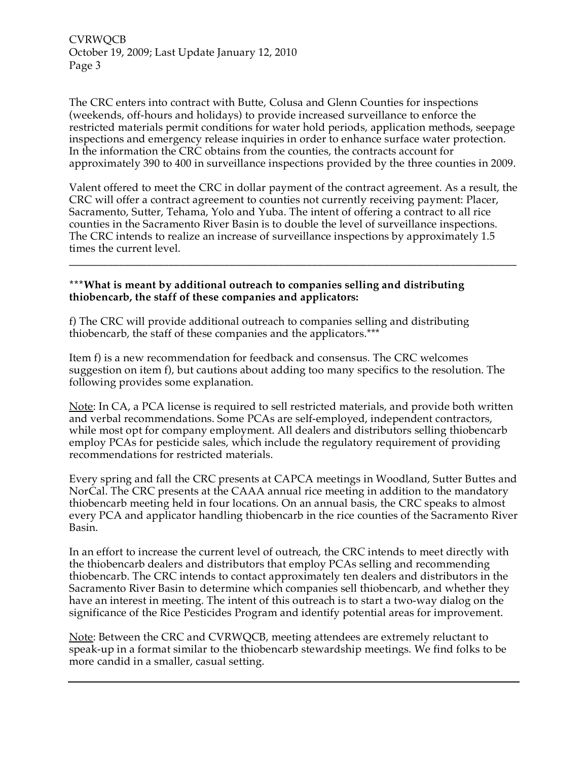CVRWQCB October 19, 2009; Last Update January 12, 2010 Page 3

The CRC enters into contract with Butte, Colusa and Glenn Counties for inspections (weekends, off-hours and holidays) to provide increased surveillance to enforce the restricted materials permit conditions for water hold periods, application methods, seepage inspections and emergency release inquiries in order to enhance surface water protection. In the information the CRC obtains from the counties, the contracts account for approximately 390 to 400 in surveillance inspections provided by the three counties in 2009.

Valent offered to meet the CRC in dollar payment of the contract agreement. As a result, the CRC will offer a contract agreement to counties not currently receiving payment: Placer, Sacramento, Sutter, Tehama, Yolo and Yuba. The intent of offering a contract to all rice counties in the Sacramento River Basin is to double the level of surveillance inspections. The CRC intends to realize an increase of surveillance inspections by approximately 1.5 times the current level.

**\_\_\_\_\_\_\_\_\_\_\_\_\_\_\_\_\_\_\_\_\_\_\_\_\_\_\_\_\_\_\_\_\_\_\_\_\_\_\_\_\_\_\_\_\_\_\_\_\_\_\_\_\_\_\_\_\_\_\_\_\_\_\_\_\_\_\_\_\_\_\_\_\_\_\_\_\_\_\_\_\_**

#### **\*\*\*What is meant by additional outreach to companies selling and distributing thiobencarb, the staff of these companies and applicators:**

f) The CRC will provide additional outreach to companies selling and distributing thiobencarb, the staff of these companies and the applicators.\*\*\*

Item f) is a new recommendation for feedback and consensus. The CRC welcomes suggestion on item f), but cautions about adding too many specifics to the resolution. The following provides some explanation.

Note: In CA, a PCA license is required to sell restricted materials, and provide both written and verbal recommendations. Some PCAs are self-employed, independent contractors, while most opt for company employment. All dealers and distributors selling thiobencarb employ PCAs for pesticide sales, which include the regulatory requirement of providing recommendations for restricted materials.

Every spring and fall the CRC presents at CAPCA meetings in Woodland, Sutter Buttes and NorCal. The CRC presents at the CAAA annual rice meeting in addition to the mandatory thiobencarb meeting held in four locations. On an annual basis, the CRC speaks to almost every PCA and applicator handling thiobencarb in the rice counties of the Sacramento River Basin.

In an effort to increase the current level of outreach, the CRC intends to meet directly with the thiobencarb dealers and distributors that employ PCAs selling and recommending thiobencarb. The CRC intends to contact approximately ten dealers and distributors in the Sacramento River Basin to determine which companies sell thiobencarb, and whether they have an interest in meeting. The intent of this outreach is to start a two-way dialog on the significance of the Rice Pesticides Program and identify potential areas for improvement.

Note: Between the CRC and CVRWQCB, meeting attendees are extremely reluctant to speak-up in a format similar to the thiobencarb stewardship meetings. We find folks to be more candid in a smaller, casual setting.